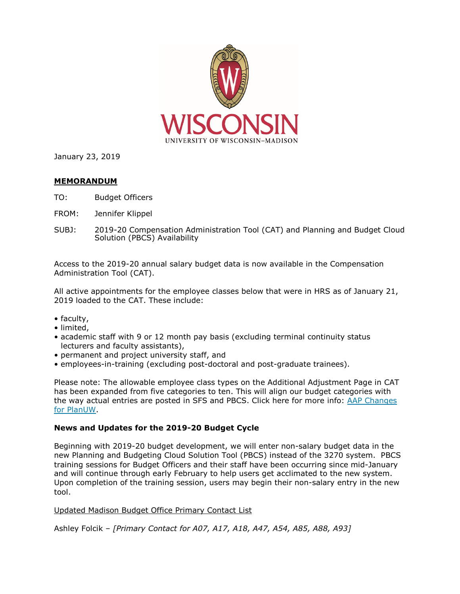

January 23, 2019

# **MEMORANDUM**

- TO: Budget Officers
- FROM: Jennifer Klippel
- SUBJ: 2019-20 Compensation Administration Tool (CAT) and Planning and Budget Cloud Solution (PBCS) Availability

Access to the 2019-20 annual salary budget data is now available in the Compensation Administration Tool (CAT).

All active appointments for the employee classes below that were in HRS as of January 21, 2019 loaded to the CAT. These include:

- faculty,
- limited,
- academic staff with 9 or 12 month pay basis (excluding terminal continuity status lecturers and faculty assistants),
- permanent and project university staff, and
- employees-in-training (excluding post-doctoral and post-graduate trainees).

Please note: The allowable employee class types on the Additional Adjustment Page in CAT has been expanded from five categories to ten. This will align our budget categories with the way actual entries are posted in SFS and PBCS. Click here for more info: AAP [Changes](https://mbo.wiscweb.wisc.edu/wp-content/uploads/sites/194/2019/01/AAP-Changes-for-PlanUW.pdf) for [PlanUW.](https://mbo.wiscweb.wisc.edu/wp-content/uploads/sites/194/2019/01/AAP-Changes-for-PlanUW.pdf)

# **News and Updates for the 2019-20 Budget Cycle**

Beginning with 2019-20 budget development, we will enter non-salary budget data in the new Planning and Budgeting Cloud Solution Tool (PBCS) instead of the 3270 system. PBCS training sessions for Budget Officers and their staff have been occurring since mid-January and will continue through early February to help users get acclimated to the new system. Upon completion of the training session, users may begin their non-salary entry in the new tool.

# Updated Madison Budget Office Primary Contact List

Ashley Folcik – *[Primary Contact for A07, A17, A18, A47, A54, A85, A88, A93]*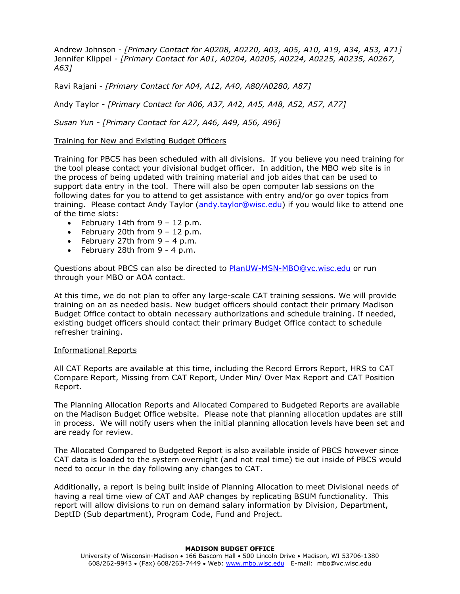Andrew Johnson - *[Primary Contact for A0208, A0220, A03, A05, A10, A19, A34, A53, A71]* Jennifer Klippel - *[Primary Contact for A01, A0204, A0205, A0224, A0225, A0235, A0267, A63]*

Ravi Rajani - *[Primary Contact for A04, A12, A40, A80/A0280, A87]*

Andy Taylor - *[Primary Contact for A06, A37, A42, A45, A48, A52, A57, A77]*

*Susan Yun - [Primary Contact for A27, A46, A49, A56, A96]*

### Training for New and Existing Budget Officers

Training for PBCS has been scheduled with all divisions. If you believe you need training for the tool please contact your divisional budget officer. In addition, the MBO web site is in the process of being updated with training material and job aides that can be used to support data entry in the tool. There will also be open computer lab sessions on the following dates for you to attend to get assistance with entry and/or go over topics from training. Please contact Andy Taylor [\(andy.taylor@wisc.edu\)](mailto:andy.taylor@wisc.edu) if you would like to attend one of the time slots:

- February 14th from  $9 12$  p.m.
- February 20th from  $9 12$  p.m.
- February 27th from  $9 4$  p.m.
- February 28th from 9 4 p.m.

Questions about PBCS can also be directed to **PlanUW-MSN-MBO@vc.wisc.edu** or run through your MBO or AOA contact.

At this time, we do not plan to offer any large-scale CAT training sessions. We will provide training on an as needed basis. New budget officers should contact their primary Madison Budget Office contact to obtain necessary authorizations and schedule training. If needed, existing budget officers should contact their primary Budget Office contact to schedule refresher training.

#### Informational Reports

All CAT Reports are available at this time, including the Record Errors Report, HRS to CAT Compare Report, Missing from CAT Report, Under Min/ Over Max Report and CAT Position Report.

The Planning Allocation Reports and Allocated Compared to Budgeted Reports are available on the Madison Budget Office website. Please note that planning allocation updates are still in process. We will notify users when the initial planning allocation levels have been set and are ready for review.

The Allocated Compared to Budgeted Report is also available inside of PBCS however since CAT data is loaded to the system overnight (and not real time) tie out inside of PBCS would need to occur in the day following any changes to CAT.

Additionally, a report is being built inside of Planning Allocation to meet Divisional needs of having a real time view of CAT and AAP changes by replicating BSUM functionality. This report will allow divisions to run on demand salary information by Division, Department, DeptID (Sub department), Program Code, Fund and Project.

#### **MADISON BUDGET OFFICE**